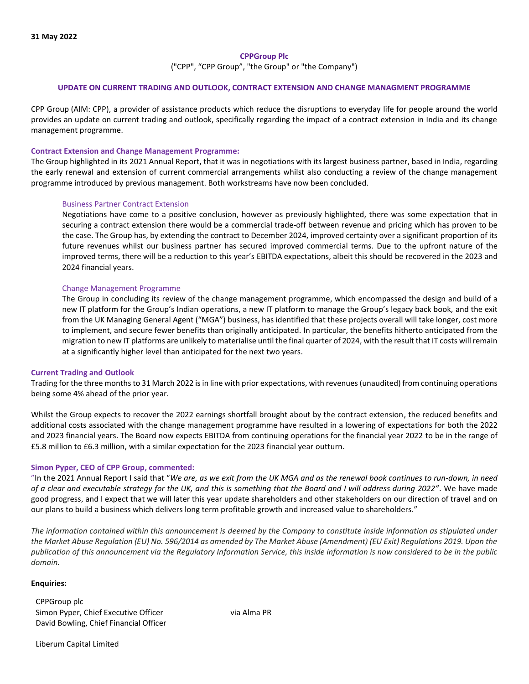## **CPPGroup Plc**

("CPP", "CPP Group", "the Group" or "the Company")

## **UPDATE ON CURRENT TRADING AND OUTLOOK, CONTRACT EXTENSION AND CHANGE MANAGMENT PROGRAMME**

CPP Group (AIM: CPP), a provider of assistance products which reduce the disruptions to everyday life for people around the world provides an update on current trading and outlook, specifically regarding the impact of a contract extension in India and its change management programme.

## **Contract Extension and Change Management Programme:**

The Group highlighted in its 2021 Annual Report, that it was in negotiations with its largest business partner, based in India, regarding the early renewal and extension of current commercial arrangements whilst also conducting a review of the change management programme introduced by previous management. Both workstreams have now been concluded.

## Business Partner Contract Extension

Negotiations have come to a positive conclusion, however as previously highlighted, there was some expectation that in securing a contract extension there would be a commercial trade-off between revenue and pricing which has proven to be the case. The Group has, by extending the contract to December 2024, improved certainty over a significant proportion of its future revenues whilst our business partner has secured improved commercial terms. Due to the upfront nature of the improved terms, there will be a reduction to this year's EBITDA expectations, albeit this should be recovered in the 2023 and 2024 financial years.

## Change Management Programme

The Group in concluding its review of the change management programme, which encompassed the design and build of a new IT platform for the Group's Indian operations, a new IT platform to manage the Group's legacy back book, and the exit from the UK Managing General Agent ("MGA") business, has identified that these projects overall will take longer, cost more to implement, and secure fewer benefits than originally anticipated. In particular, the benefits hitherto anticipated from the migration to new IT platforms are unlikely to materialise until the final quarter of 2024, with the result that IT costs will remain at a significantly higher level than anticipated for the next two years.

#### **Current Trading and Outlook**

Trading for the three months to 31 March 2022 is in line with prior expectations, with revenues (unaudited) from continuing operations being some 4% ahead of the prior year.

Whilst the Group expects to recover the 2022 earnings shortfall brought about by the contract extension, the reduced benefits and additional costs associated with the change management programme have resulted in a lowering of expectations for both the 2022 and 2023 financial years. The Board now expects EBITDA from continuing operations for the financial year 2022 to be in the range of £5.8 million to £6.3 million, with a similar expectation for the 2023 financial year outturn.

#### **Simon Pyper, CEO of CPP Group, commented:**

"In the 2021 Annual Report I said that "*We are, as we exit from the UK MGA and as the renewal book continues to run-down, in need of a clear and executable strategy for the UK, and this is something that the Board and I will address during 2022"*. We have made good progress, and I expect that we will later this year update shareholders and other stakeholders on our direction of travel and on our plans to build a business which delivers long term profitable growth and increased value to shareholders."

*The information contained within this announcement is deemed by the Company to constitute inside information as stipulated under the Market Abuse Regulation (EU) No. 596/2014 as amended by The Market Abuse (Amendment) (EU Exit) Regulations 2019. Upon the publication of this announcement via the Regulatory Information Service, this inside information is now considered to be in the public domain.*

#### **Enquiries:**

CPPGroup plc Simon Pyper, Chief Executive Officer via Alma PR David Bowling, Chief Financial Officer

Liberum Capital Limited